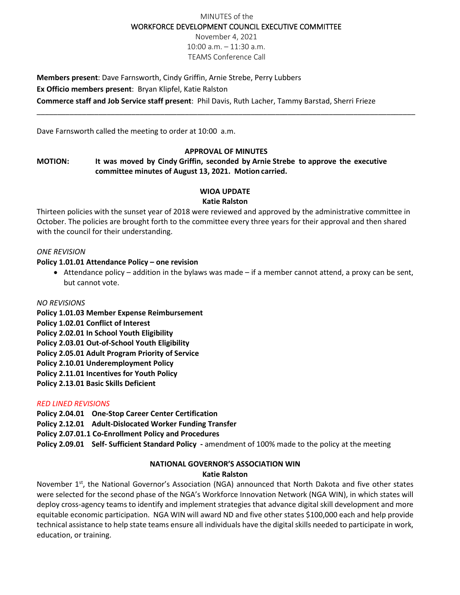### MINUTES of the WORKFORCE DEVELOPMENT COUNCIL EXECUTIVE COMMITTEE

November 4, 2021 10:00 a.m. – 11:30 a.m. TEAMS Conference Call

**Members present**: Dave Farnsworth, Cindy Griffin, Arnie Strebe, Perry Lubbers **Ex Officio members present**: Bryan Klipfel, Katie Ralston **Commerce staff and Job Service staff present**: Phil Davis, Ruth Lacher, Tammy Barstad, Sherri Frieze

Dave Farnsworth called the meeting to order at 10:00 a.m.

### **APPROVAL OF MINUTES**

\_\_\_\_\_\_\_\_\_\_\_\_\_\_\_\_\_\_\_\_\_\_\_\_\_\_\_\_\_\_\_\_\_\_\_\_\_\_\_\_\_\_\_\_\_\_\_\_\_\_\_\_\_\_\_\_\_\_\_\_\_\_\_\_\_\_\_\_\_\_\_\_\_\_\_\_\_\_\_\_\_\_\_\_\_\_\_\_\_\_\_\_

## **MOTION: It was moved by Cindy Griffin, seconded by Arnie Strebe to approve the executive committee minutes of August 13, 2021. Motion carried.**

### **WIOA UPDATE**

#### **Katie Ralston**

Thirteen policies with the sunset year of 2018 were reviewed and approved by the administrative committee in October. The policies are brought forth to the committee every three years for their approval and then shared with the council for their understanding.

#### *ONE REVISION*

### **Policy 1.01.01 Attendance Policy – one revision**

• Attendance policy – addition in the bylaws was made – if a member cannot attend, a proxy can be sent, but cannot vote.

#### *NO REVISIONS*

- **Policy 1.01.03 Member Expense Reimbursement**
- **Policy 1.02.01 Conflict of Interest**
- **Policy 2.02.01 In School Youth Eligibility**
- **Policy 2.03.01 Out-of-School Youth Eligibility**
- **Policy 2.05.01 Adult Program Priority of Service**
- **Policy 2.10.01 Underemployment Policy**
- **Policy 2.11.01 Incentives for Youth Policy**
- **Policy 2.13.01 Basic Skills Deficient**

#### *RED LINED REVISIONS*

- **Policy 2.04.01 One-Stop Career Center Certification**
- **Policy 2.12.01 Adult-Dislocated Worker Funding Transfer**
- **Policy 2.07.01.1 Co-Enrollment Policy and Procedures**
- **Policy 2.09.01 Self- Sufficient Standard Policy -** amendment of 100% made to the policy at the meeting

#### **NATIONAL GOVERNOR'S ASSOCIATION WIN Katie Ralston**

November 1<sup>st</sup>, the National Governor's Association (NGA) announced that North Dakota and five other states were selected for the second phase of the NGA's Workforce Innovation Network (NGA WIN), in which states will deploy cross-agency teams to identify and implement strategies that advance digital skill development and more equitable economic participation. NGA WIN will award ND and five other states \$100,000 each and help provide technical assistance to help state teams ensure all individuals have the digital skills needed to participate in work, education, or training.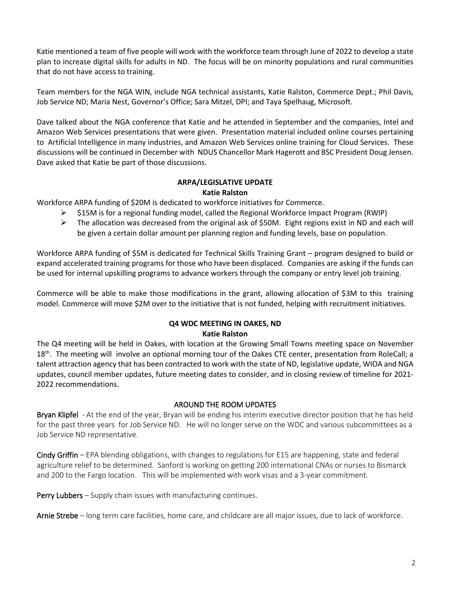Katie mentioned a team of five people will work with the workforce team through June of 2022 to develop a state plan to increase digital skills for adults in ND. The focus will be on minority populations and rural communities that do not have access to training.

Team members for the NGA WIN, include NGA technical assistants, Katie Ralston, Commerce Dept.; Phil Davis, Job Service ND; Maria Nest, Governor's Office; Sara Mitzel, DPI; and Taya Spelhaug, Microsoft.

Dave talked about the NGA conference that Katie and he attended in September and the companies, Intel and Amazon Web Services presentations that were given. Presentation material included online courses pertaining to Artificial Intelligence in many industries, and Amazon Web Services online training for Cloud Services. These discussions will be continued in December with NDUS Chancellor Mark Hagerott and BSC President Doug Jensen. Dave asked that Katie be part of those discussions.

### **ARPA/LEGISLATIVE UPDATE Katie Ralston**

Workforce ARPA funding of \$20M is dedicated to workforce initiatives for Commerce.

- \$15M is for a regional funding model, called the Regional Workforce Impact Program (RWIP)
- $\triangleright$  The allocation was decreased from the original ask of \$50M. Eight regions exist in ND and each will be given a certain dollar amount per planning region and funding levels, base on population.

Workforce ARPA funding of \$5M is dedicated for Technical Skills Training Grant – program designed to build or expand accelerated training programs for those who have been displaced. Companies are asking if the funds can be used for internal upskilling programs to advance workers through the company or entry level job training.

Commerce will be able to make those modifications in the grant, allowing allocation of \$3M to this training model. Commerce will move \$2M over to the initiative that is not funded, helping with recruitment initiatives.

### **Q4 WDC MEETING IN OAKES, ND Katie Ralston**

The Q4 meeting will be held in Oakes, with location at the Growing Small Towns meeting space on November 18<sup>th</sup>. The meeting will involve an optional morning tour of the Oakes CTE center, presentation from RoleCall; a talent attraction agency that has been contracted to work with the state of ND, legislative update, WIOA and NGA updates, council member updates, future meeting dates to consider, and in closing review of timeline for 2021- 2022 recommendations.

### AROUND THE ROOM UPDATES

Bryan Klipfel - At the end of the year, Bryan will be ending his interim executive director position that he has held for the past three years for Job Service ND. He will no longer serve on the WDC and various subcommittees as a Job Service ND representative.

Cindy Griffin – EPA blending obligations, with changes to regulations for E15 are happening, state and federal agriculture relief to be determined. Sanford is working on getting 200 international CNAs or nurses to Bismarck and 200 to the Fargo location. This will be implemented with work visas and a 3-year commitment.

Perry Lubbers - Supply chain issues with manufacturing continues.

Arnie Strebe – long term care facilities, home care, and childcare are all major issues, due to lack of workforce.